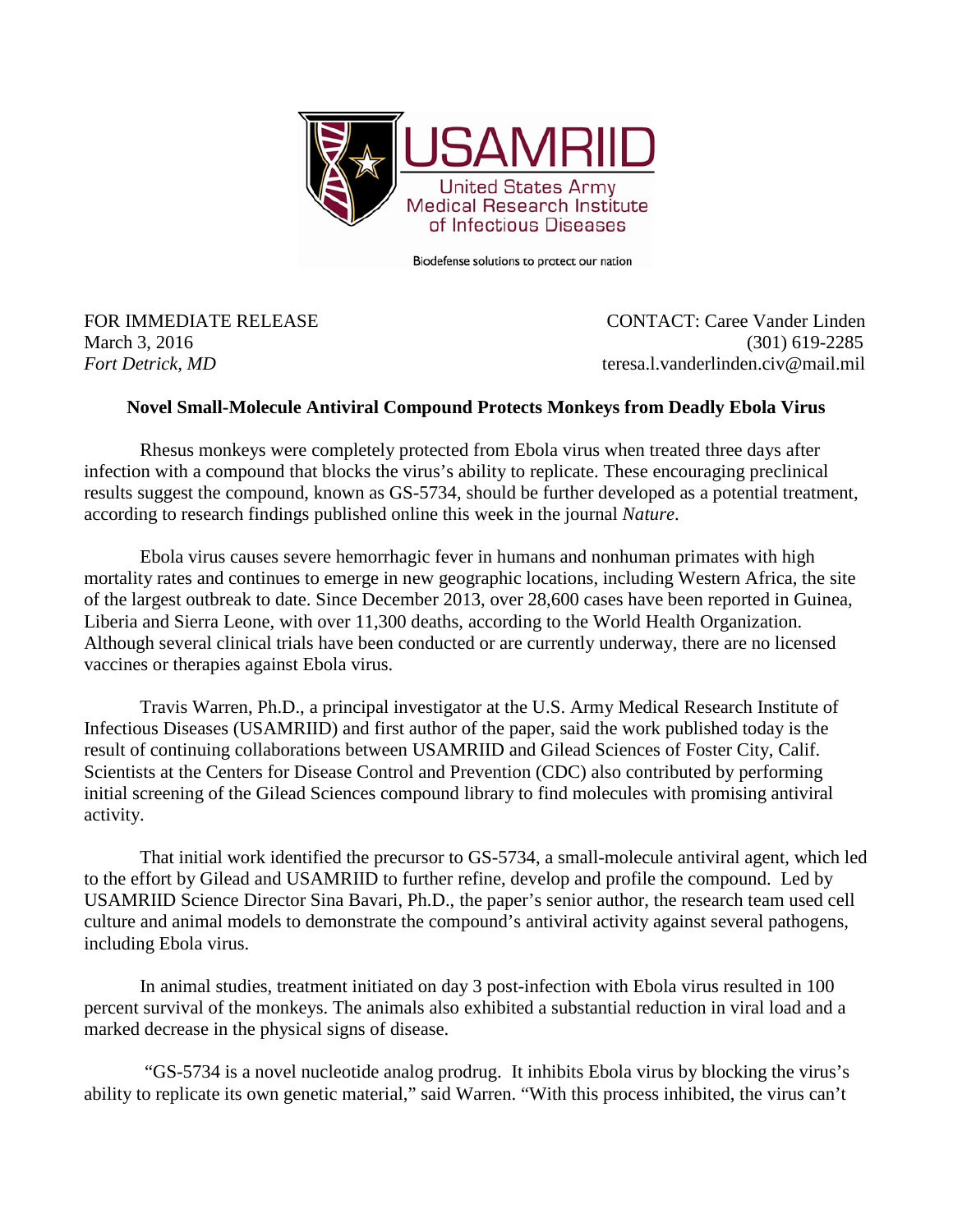

Biodefense solutions to protect our nation

FOR IMMEDIATE RELEASE CONTACT: Caree Vander Linden March 3, 2016 (301) 619-2285 *Fort Detrick, MD teresa.l.vanderlinden.civ@mail.mil* 

## **Novel Small-Molecule Antiviral Compound Protects Monkeys from Deadly Ebola Virus**

Rhesus monkeys were completely protected from Ebola virus when treated three days after infection with a compound that blocks the virus's ability to replicate. These encouraging preclinical results suggest the compound, known as GS-5734, should be further developed as a potential treatment, according to research findings published online this week in the journal *Nature*.

Ebola virus causes severe hemorrhagic fever in humans and nonhuman primates with high mortality rates and continues to emerge in new geographic locations, including Western Africa, the site of the largest outbreak to date. Since December 2013, over 28,600 cases have been reported in Guinea, Liberia and Sierra Leone, with over 11,300 deaths, according to the World Health Organization. Although several clinical trials have been conducted or are currently underway, there are no licensed vaccines or therapies against Ebola virus.

Travis Warren, Ph.D., a principal investigator at the U.S. Army Medical Research Institute of Infectious Diseases (USAMRIID) and first author of the paper, said the work published today is the result of continuing collaborations between USAMRIID and Gilead Sciences of Foster City, Calif. Scientists at the Centers for Disease Control and Prevention (CDC) also contributed by performing initial screening of the Gilead Sciences compound library to find molecules with promising antiviral activity.

That initial work identified the precursor to GS-5734, a small-molecule antiviral agent, which led to the effort by Gilead and USAMRIID to further refine, develop and profile the compound. Led by USAMRIID Science Director Sina Bavari, Ph.D., the paper's senior author, the research team used cell culture and animal models to demonstrate the compound's antiviral activity against several pathogens, including Ebola virus.

In animal studies, treatment initiated on day 3 post-infection with Ebola virus resulted in 100 percent survival of the monkeys. The animals also exhibited a substantial reduction in viral load and a marked decrease in the physical signs of disease.

"GS-5734 is a novel nucleotide analog prodrug. It inhibits Ebola virus by blocking the virus's ability to replicate its own genetic material," said Warren. "With this process inhibited, the virus can't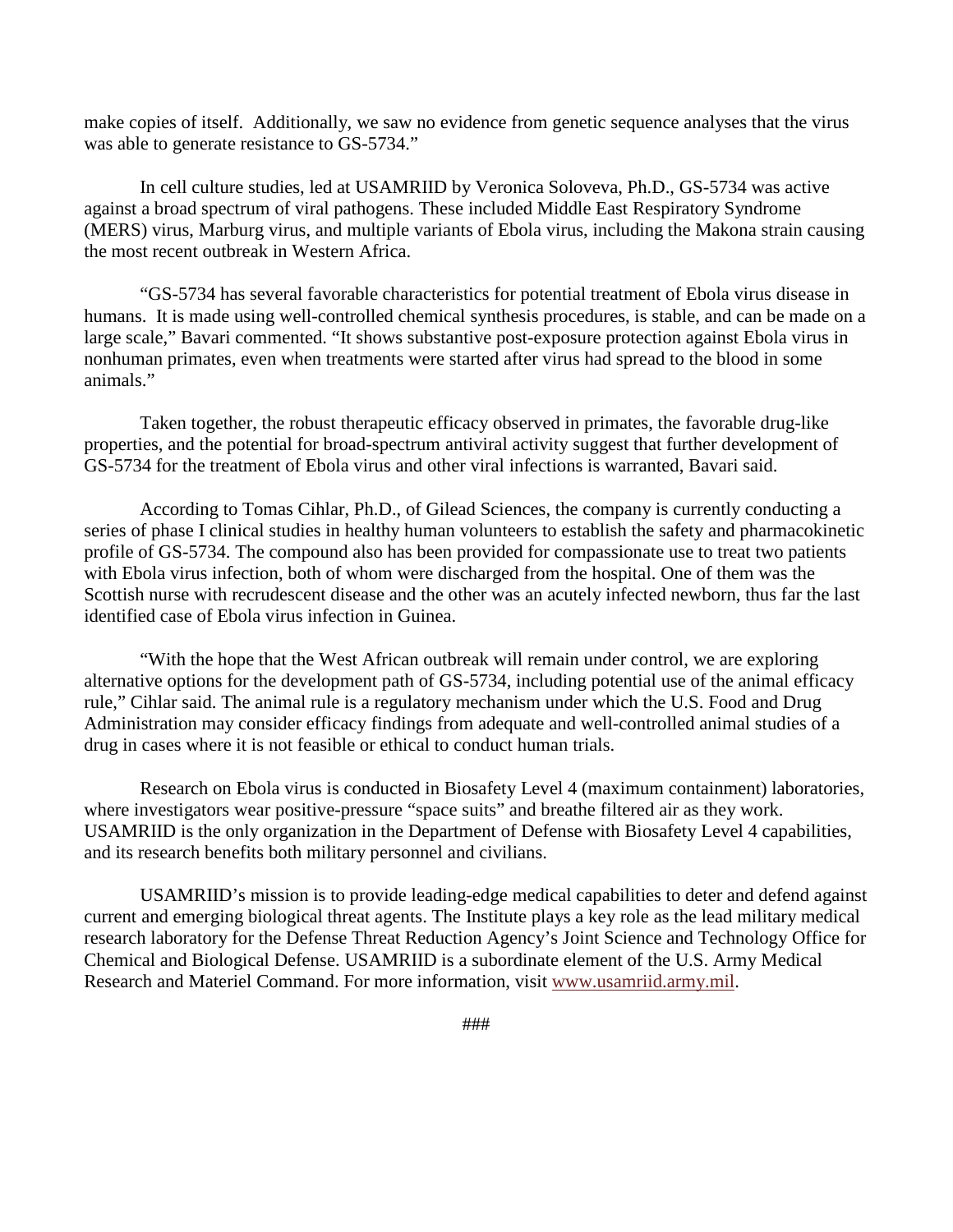make copies of itself. Additionally, we saw no evidence from genetic sequence analyses that the virus was able to generate resistance to GS-5734."

In cell culture studies, led at USAMRIID by Veronica Soloveva, Ph.D., GS-5734 was active against a broad spectrum of viral pathogens. These included Middle East Respiratory Syndrome (MERS) virus, Marburg virus, and multiple variants of Ebola virus, including the Makona strain causing the most recent outbreak in Western Africa.

"GS-5734 has several favorable characteristics for potential treatment of Ebola virus disease in humans. It is made using well-controlled chemical synthesis procedures, is stable, and can be made on a large scale," Bavari commented. "It shows substantive post-exposure protection against Ebola virus in nonhuman primates, even when treatments were started after virus had spread to the blood in some animals."

Taken together, the robust therapeutic efficacy observed in primates, the favorable drug-like properties, and the potential for broad-spectrum antiviral activity suggest that further development of GS-5734 for the treatment of Ebola virus and other viral infections is warranted, Bavari said.

According to Tomas Cihlar, Ph.D., of Gilead Sciences, the company is currently conducting a series of phase I clinical studies in healthy human volunteers to establish the safety and pharmacokinetic profile of GS-5734. The compound also has been provided for compassionate use to treat two patients with Ebola virus infection, both of whom were discharged from the hospital. One of them was the Scottish nurse with recrudescent disease and the other was an acutely infected newborn, thus far the last identified case of Ebola virus infection in Guinea.

"With the hope that the West African outbreak will remain under control, we are exploring alternative options for the development path of GS-5734, including potential use of the animal efficacy rule," Cihlar said. The animal rule is a regulatory mechanism under which the U.S. Food and Drug Administration may consider efficacy findings from adequate and well-controlled animal studies of a drug in cases where it is not feasible or ethical to conduct human trials.

Research on Ebola virus is conducted in Biosafety Level 4 (maximum containment) laboratories, where investigators wear positive-pressure "space suits" and breathe filtered air as they work. USAMRIID is the only organization in the Department of Defense with Biosafety Level 4 capabilities, and its research benefits both military personnel and civilians.

USAMRIID's mission is to provide leading-edge medical capabilities to deter and defend against current and emerging biological threat agents. The Institute plays a key role as the lead military medical research laboratory for the Defense Threat Reduction Agency's Joint Science and Technology Office for Chemical and Biological Defense. USAMRIID is a subordinate element of the U.S. Army Medical Research and Materiel Command. For more information, visit [www.usamriid.army.mil.](http://www.usamriid.army.mil/)